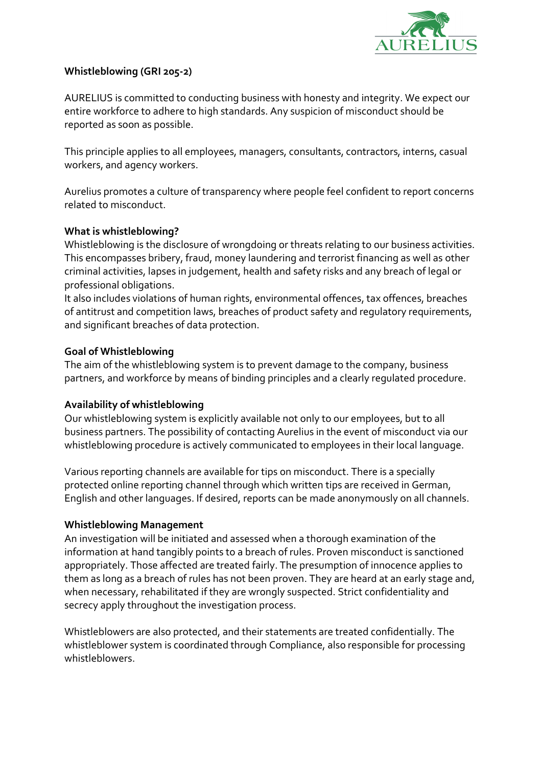

## Whistleblowing (GRI 205-2)

AURELIUS is committed to conducting business with honesty and integrity. We expect our entire workforce to adhere to high standards. Any suspicion of misconduct should be reported as soon as possible.

This principle applies to all employees, managers, consultants, contractors, interns, casual workers, and agency workers.

Aurelius promotes a culture of transparency where people feel confident to report concerns related to misconduct.

## What is whistleblowing?

Whistleblowing is the disclosure of wrongdoing or threats relating to our business activities. This encompasses bribery, fraud, money laundering and terrorist financing as well as other criminal activities, lapses in judgement, health and safety risks and any breach of legal or professional obligations.

It also includes violations of human rights, environmental offences, tax offences, breaches of antitrust and competition laws, breaches of product safety and regulatory requirements, and significant breaches of data protection.

## Goal of Whistleblowing

The aim of the whistleblowing system is to prevent damage to the company, business partners, and workforce by means of binding principles and a clearly regulated procedure.

# Availability of whistleblowing

Our whistleblowing system is explicitly available not only to our employees, but to all business partners. The possibility of contacting Aurelius in the event of misconduct via our whistleblowing procedure is actively communicated to employees in their local language.

Various reporting channels are available for tips on misconduct. There is a specially protected online reporting channel through which written tips are received in German, English and other languages. If desired, reports can be made anonymously on all channels.

### Whistleblowing Management

An investigation will be initiated and assessed when a thorough examination of the information at hand tangibly points to a breach of rules. Proven misconduct is sanctioned appropriately. Those affected are treated fairly. The presumption of innocence applies to them as long as a breach of rules has not been proven. They are heard at an early stage and, when necessary, rehabilitated if they are wrongly suspected. Strict confidentiality and secrecy apply throughout the investigation process.

Whistleblowers are also protected, and their statements are treated confidentially. The whistleblower system is coordinated through Compliance, also responsible for processing whistleblowers.